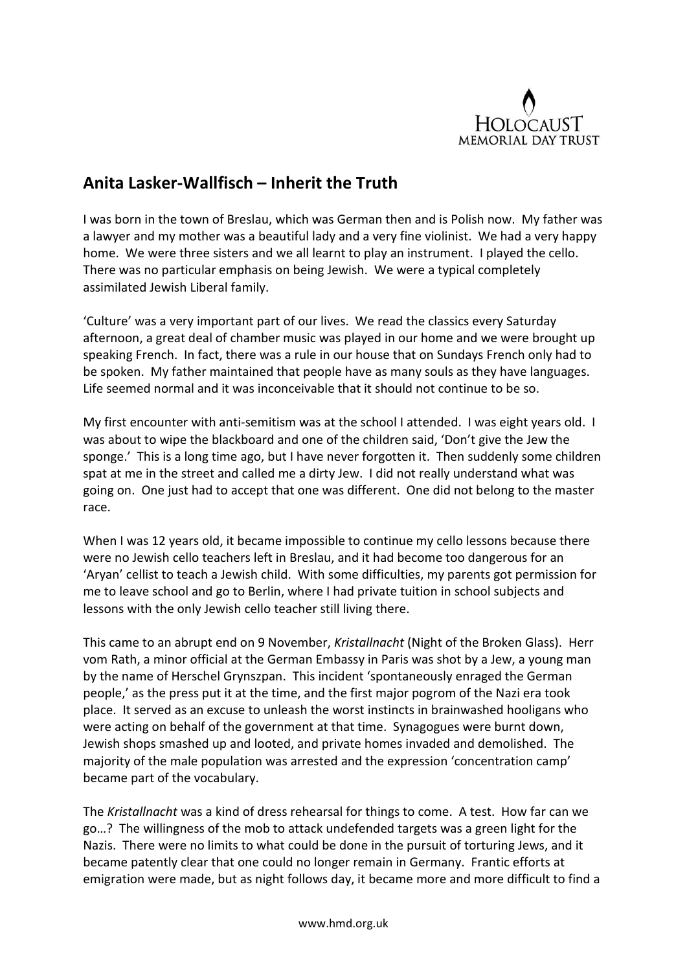

## **Anita Lasker-Wallfisch – Inherit the Truth**

I was born in the town of Breslau, which was German then and is Polish now. My father was a lawyer and my mother was a beautiful lady and a very fine violinist. We had a very happy home. We were three sisters and we all learnt to play an instrument. I played the cello. There was no particular emphasis on being Jewish. We were a typical completely assimilated Jewish Liberal family.

'Culture' was a very important part of our lives. We read the classics every Saturday afternoon, a great deal of chamber music was played in our home and we were brought up speaking French. In fact, there was a rule in our house that on Sundays French only had to be spoken. My father maintained that people have as many souls as they have languages. Life seemed normal and it was inconceivable that it should not continue to be so.

My first encounter with anti-semitism was at the school I attended. I was eight years old. I was about to wipe the blackboard and one of the children said, 'Don't give the Jew the sponge.' This is a long time ago, but I have never forgotten it. Then suddenly some children spat at me in the street and called me a dirty Jew. I did not really understand what was going on. One just had to accept that one was different. One did not belong to the master race.

When I was 12 years old, it became impossible to continue my cello lessons because there were no Jewish cello teachers left in Breslau, and it had become too dangerous for an 'Aryan' cellist to teach a Jewish child. With some difficulties, my parents got permission for me to leave school and go to Berlin, where I had private tuition in school subjects and lessons with the only Jewish cello teacher still living there.

This came to an abrupt end on 9 November, *Kristallnacht* (Night of the Broken Glass). Herr vom Rath, a minor official at the German Embassy in Paris was shot by a Jew, a young man by the name of Herschel Grynszpan. This incident 'spontaneously enraged the German people,' as the press put it at the time, and the first major pogrom of the Nazi era took place. It served as an excuse to unleash the worst instincts in brainwashed hooligans who were acting on behalf of the government at that time. Synagogues were burnt down, Jewish shops smashed up and looted, and private homes invaded and demolished. The majority of the male population was arrested and the expression 'concentration camp' became part of the vocabulary.

The *Kristallnacht* was a kind of dress rehearsal for things to come. A test. How far can we go…? The willingness of the mob to attack undefended targets was a green light for the Nazis. There were no limits to what could be done in the pursuit of torturing Jews, and it became patently clear that one could no longer remain in Germany. Frantic efforts at emigration were made, but as night follows day, it became more and more difficult to find a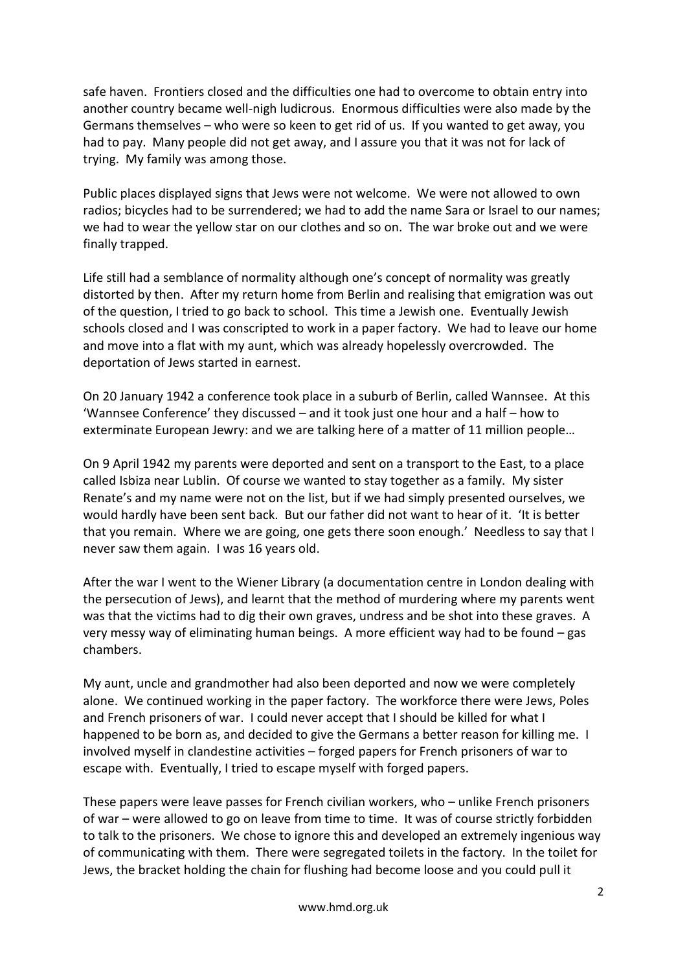safe haven. Frontiers closed and the difficulties one had to overcome to obtain entry into another country became well-nigh ludicrous. Enormous difficulties were also made by the Germans themselves – who were so keen to get rid of us. If you wanted to get away, you had to pay. Many people did not get away, and I assure you that it was not for lack of trying. My family was among those.

Public places displayed signs that Jews were not welcome. We were not allowed to own radios; bicycles had to be surrendered; we had to add the name Sara or Israel to our names; we had to wear the yellow star on our clothes and so on. The war broke out and we were finally trapped.

Life still had a semblance of normality although one's concept of normality was greatly distorted by then. After my return home from Berlin and realising that emigration was out of the question, I tried to go back to school. This time a Jewish one. Eventually Jewish schools closed and I was conscripted to work in a paper factory. We had to leave our home and move into a flat with my aunt, which was already hopelessly overcrowded. The deportation of Jews started in earnest.

On 20 January 1942 a conference took place in a suburb of Berlin, called Wannsee. At this 'Wannsee Conference' they discussed – and it took just one hour and a half – how to exterminate European Jewry: and we are talking here of a matter of 11 million people…

On 9 April 1942 my parents were deported and sent on a transport to the East, to a place called Isbiza near Lublin. Of course we wanted to stay together as a family. My sister Renate's and my name were not on the list, but if we had simply presented ourselves, we would hardly have been sent back. But our father did not want to hear of it. 'It is better that you remain. Where we are going, one gets there soon enough.' Needless to say that I never saw them again. I was 16 years old.

After the war I went to the Wiener Library (a documentation centre in London dealing with the persecution of Jews), and learnt that the method of murdering where my parents went was that the victims had to dig their own graves, undress and be shot into these graves. A very messy way of eliminating human beings. A more efficient way had to be found – gas chambers.

My aunt, uncle and grandmother had also been deported and now we were completely alone. We continued working in the paper factory. The workforce there were Jews, Poles and French prisoners of war. I could never accept that I should be killed for what I happened to be born as, and decided to give the Germans a better reason for killing me. I involved myself in clandestine activities – forged papers for French prisoners of war to escape with. Eventually, I tried to escape myself with forged papers.

These papers were leave passes for French civilian workers, who – unlike French prisoners of war – were allowed to go on leave from time to time. It was of course strictly forbidden to talk to the prisoners. We chose to ignore this and developed an extremely ingenious way of communicating with them. There were segregated toilets in the factory. In the toilet for Jews, the bracket holding the chain for flushing had become loose and you could pull it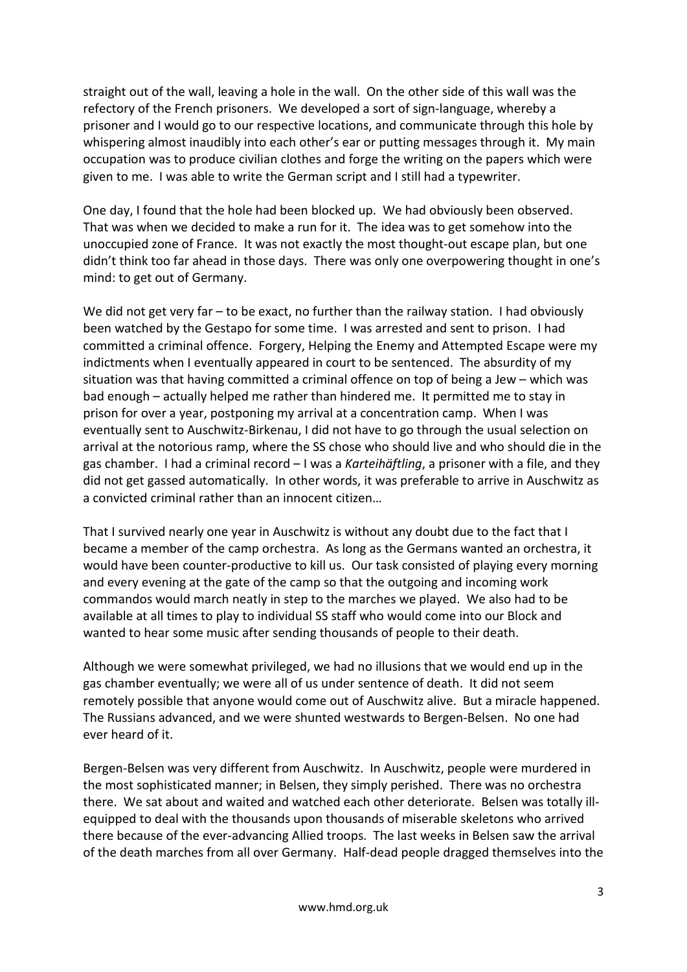straight out of the wall, leaving a hole in the wall. On the other side of this wall was the refectory of the French prisoners. We developed a sort of sign-language, whereby a prisoner and I would go to our respective locations, and communicate through this hole by whispering almost inaudibly into each other's ear or putting messages through it. My main occupation was to produce civilian clothes and forge the writing on the papers which were given to me. I was able to write the German script and I still had a typewriter.

One day, I found that the hole had been blocked up. We had obviously been observed. That was when we decided to make a run for it. The idea was to get somehow into the unoccupied zone of France. It was not exactly the most thought-out escape plan, but one didn't think too far ahead in those days. There was only one overpowering thought in one's mind: to get out of Germany.

We did not get very far – to be exact, no further than the railway station. I had obviously been watched by the Gestapo for some time. I was arrested and sent to prison. I had committed a criminal offence. Forgery, Helping the Enemy and Attempted Escape were my indictments when I eventually appeared in court to be sentenced. The absurdity of my situation was that having committed a criminal offence on top of being a Jew – which was bad enough – actually helped me rather than hindered me. It permitted me to stay in prison for over a year, postponing my arrival at a concentration camp. When I was eventually sent to Auschwitz-Birkenau, I did not have to go through the usual selection on arrival at the notorious ramp, where the SS chose who should live and who should die in the gas chamber. I had a criminal record – I was a *Karteihäftling*, a prisoner with a file, and they did not get gassed automatically. In other words, it was preferable to arrive in Auschwitz as a convicted criminal rather than an innocent citizen…

That I survived nearly one year in Auschwitz is without any doubt due to the fact that I became a member of the camp orchestra. As long as the Germans wanted an orchestra, it would have been counter-productive to kill us. Our task consisted of playing every morning and every evening at the gate of the camp so that the outgoing and incoming work commandos would march neatly in step to the marches we played. We also had to be available at all times to play to individual SS staff who would come into our Block and wanted to hear some music after sending thousands of people to their death.

Although we were somewhat privileged, we had no illusions that we would end up in the gas chamber eventually; we were all of us under sentence of death. It did not seem remotely possible that anyone would come out of Auschwitz alive. But a miracle happened. The Russians advanced, and we were shunted westwards to Bergen-Belsen. No one had ever heard of it.

Bergen-Belsen was very different from Auschwitz. In Auschwitz, people were murdered in the most sophisticated manner; in Belsen, they simply perished. There was no orchestra there. We sat about and waited and watched each other deteriorate. Belsen was totally illequipped to deal with the thousands upon thousands of miserable skeletons who arrived there because of the ever-advancing Allied troops. The last weeks in Belsen saw the arrival of the death marches from all over Germany. Half-dead people dragged themselves into the